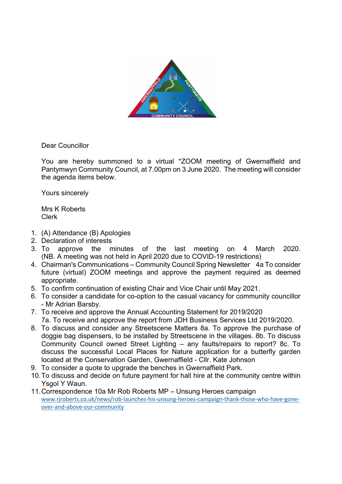

Dear Councillor

You are hereby summoned to a virtual \*ZOOM meeting of Gwernaffield and Pantymwyn Community Council, at 7.00pm on 3 June 2020. The meeting will consider the agenda items below.

Yours sincerely

Mrs K Roberts Clerk

- 1. (A) Attendance (B) Apologies
- 2. Declaration of interests
- 3. To approve the minutes of the last meeting on 4 March 2020. (NB. A meeting was not held in April 2020 due to COVID-19 restrictions)
- 4. Chairman's Communications Community Council Spring Newsletter 4a To consider future (virtual) ZOOM meetings and approve the payment required as deemed appropriate.
- 5. To confirm continuation of existing Chair and Vice Chair until May 2021.
- 6. To consider a candidate for co-option to the casual vacancy for community councillor - Mr Adrian Barsby.
- 7. To receive and approve the Annual Accounting Statement for 2019/2020 7a. To receive and approve the report from JDH Business Services Ltd 2019/2020.
- 8. To discuss and consider any Streetscene Matters 8a. To approve the purchase of doggie bag dispensers, to be installed by Streetscene in the villages. 8b. To discuss Community Council owned Street Lighting – any faults/repairs to report? 8c. To discuss the successful Local Places for Nature application for a butterfly garden located at the Conservation Garden, Gwernaffield - Cllr. Kate Johnson
- 9. To consider a quote to upgrade the benches in Gwernaffield Park.
- 10. To discuss and decide on future payment for hall hire at the community centre within Ysgol Y Waun.
- 11. Correspondence 10a Mr Rob Roberts MP Unsung Heroes campaign www.rjroberts.co.uk/news/rob-launches-his-unsung-heroes-campaign-thank-those-who-have-goneover-and-above-our-community